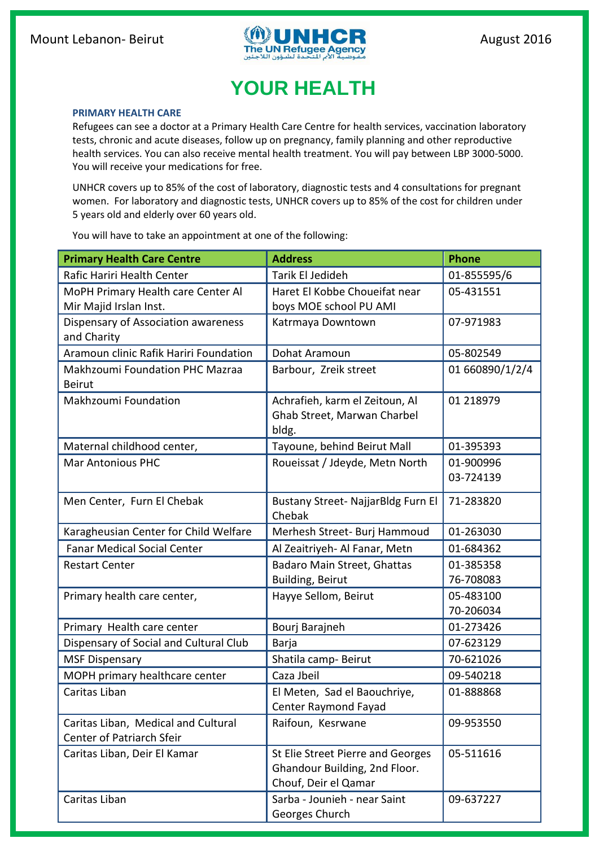

## **YOUR HEALTH**

## **PRIMARY HEALTH CARE**

Refugees can see a doctor at a Primary Health Care Centre for health services, vaccination laboratory tests, chronic and acute diseases, follow up on pregnancy, family planning and other reproductive health services. You can also receive mental health treatment. You will pay between LBP 3000-5000. You will receive your medications for free.

UNHCR covers up to 85% of the cost of laboratory, diagnostic tests and 4 consultations for pregnant women. For laboratory and diagnostic tests, UNHCR covers up to 85% of the cost for children under 5 years old and elderly over 60 years old.

You will have to take an appointment at one of the following:

| <b>Primary Health Care Centre</b>      | <b>Address</b>                                 | <b>Phone</b>    |
|----------------------------------------|------------------------------------------------|-----------------|
| Rafic Hariri Health Center             | Tarik El Jedideh                               | 01-855595/6     |
| MoPH Primary Health care Center Al     | Haret El Kobbe Choueifat near                  | 05-431551       |
| Mir Majid Irslan Inst.                 | boys MOE school PU AMI                         |                 |
| Dispensary of Association awareness    | Katrmaya Downtown                              | 07-971983       |
| and Charity                            |                                                |                 |
| Aramoun clinic Rafik Hariri Foundation | Dohat Aramoun                                  | 05-802549       |
| Makhzoumi Foundation PHC Mazraa        | Barbour, Zreik street                          | 01 660890/1/2/4 |
| <b>Beirut</b>                          |                                                |                 |
| <b>Makhzoumi Foundation</b>            | Achrafieh, karm el Zeitoun, Al                 | 01 218979       |
|                                        | Ghab Street, Marwan Charbel                    |                 |
|                                        | bldg.                                          |                 |
| Maternal childhood center,             | Tayoune, behind Beirut Mall                    | 01-395393       |
| <b>Mar Antonious PHC</b>               | Roueissat / Jdeyde, Metn North                 | 01-900996       |
|                                        |                                                | 03-724139       |
| Men Center, Furn El Chebak             | Bustany Street- NajjarBldg Furn El             | 71-283820       |
|                                        | Chebak                                         |                 |
| Karagheusian Center for Child Welfare  | Merhesh Street- Burj Hammoud                   | 01-263030       |
| <b>Fanar Medical Social Center</b>     | Al Zeaitriyeh- Al Fanar, Metn                  | 01-684362       |
| <b>Restart Center</b>                  | Badaro Main Street, Ghattas                    | 01-385358       |
|                                        | <b>Building, Beirut</b>                        | 76-708083       |
| Primary health care center,            | Hayye Sellom, Beirut                           | 05-483100       |
|                                        |                                                | 70-206034       |
| Primary Health care center             | Bourj Barajneh                                 | 01-273426       |
| Dispensary of Social and Cultural Club | Barja                                          | 07-623129       |
| <b>MSF Dispensary</b>                  | Shatila camp- Beirut                           | 70-621026       |
| MOPH primary healthcare center         | Caza Jbeil                                     | 09-540218       |
| Caritas Liban                          | El Meten, Sad el Baouchriye,                   | 01-888868       |
|                                        | Center Raymond Fayad                           |                 |
| Caritas Liban, Medical and Cultural    | Raifoun, Kesrwane                              | 09-953550       |
| Center of Patriarch Sfeir              |                                                |                 |
| Caritas Liban, Deir El Kamar           | St Elie Street Pierre and Georges<br>05-511616 |                 |
|                                        | Ghandour Building, 2nd Floor.                  |                 |
|                                        | Chouf, Deir el Qamar                           |                 |
| Caritas Liban                          | Sarba - Jounieh - near Saint<br>09-637227      |                 |
|                                        | Georges Church                                 |                 |